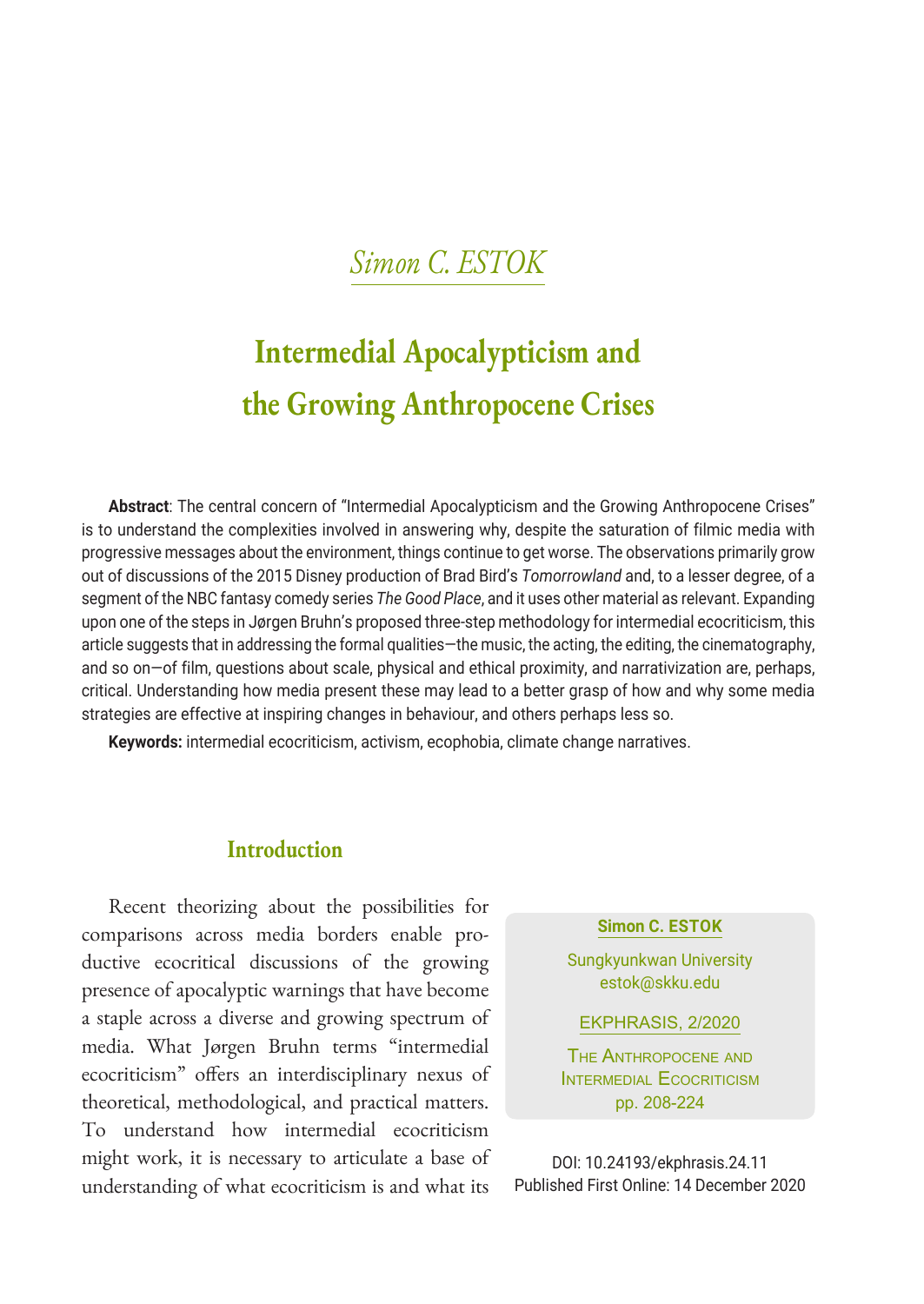## *Simon C. ESTOK*

# **Intermedial Apocalypticism and the Growing Anthropocene Crises**

**Abstract**: The central concern of "Intermedial Apocalypticism and the Growing Anthropocene Crises" is to understand the complexities involved in answering why, despite the saturation of filmic media with progressive messages about the environment, things continue to get worse. The observations primarily grow out of discussions of the 2015 Disney production of Brad Bird's *Tomorrowland* and, to a lesser degree, of a segment of the NBC fantasy comedy series *The Good Place*, and it uses other material as relevant. Expanding upon one of the steps in Jørgen Bruhn's proposed three-step methodology for intermedial ecocriticism, this article suggests that in addressing the formal qualities—the music, the acting, the editing, the cinematography, and so on—of film, questions about scale, physical and ethical proximity, and narrativization are, perhaps, critical. Understanding how media present these may lead to a better grasp of how and why some media strategies are effective at inspiring changes in behaviour, and others perhaps less so.

**Keywords:** intermedial ecocriticism, activism, ecophobia, climate change narratives.

## **Introduction**

Recent theorizing about the possibilities for comparisons across media borders enable productive ecocritical discussions of the growing presence of apocalyptic warnings that have become a staple across a diverse and growing spectrum of media. What Jørgen Bruhn terms "intermedial ecocriticism" offers an interdisciplinary nexus of theoretical, methodological, and practical matters. To understand how intermedial ecocriticism might work, it is necessary to articulate a base of understanding of what ecocriticism is and what its

#### **Simon C. ESTOK**

Sungkyunkwan University estok@skku.edu

EKPHRASIS, 2/2020

The Anthropocene and INTERMEDIAL ECOCRITICISM pp. 208-224

DOI: 10.24193/ekphrasis.24.11 Published First Online: 14 December 2020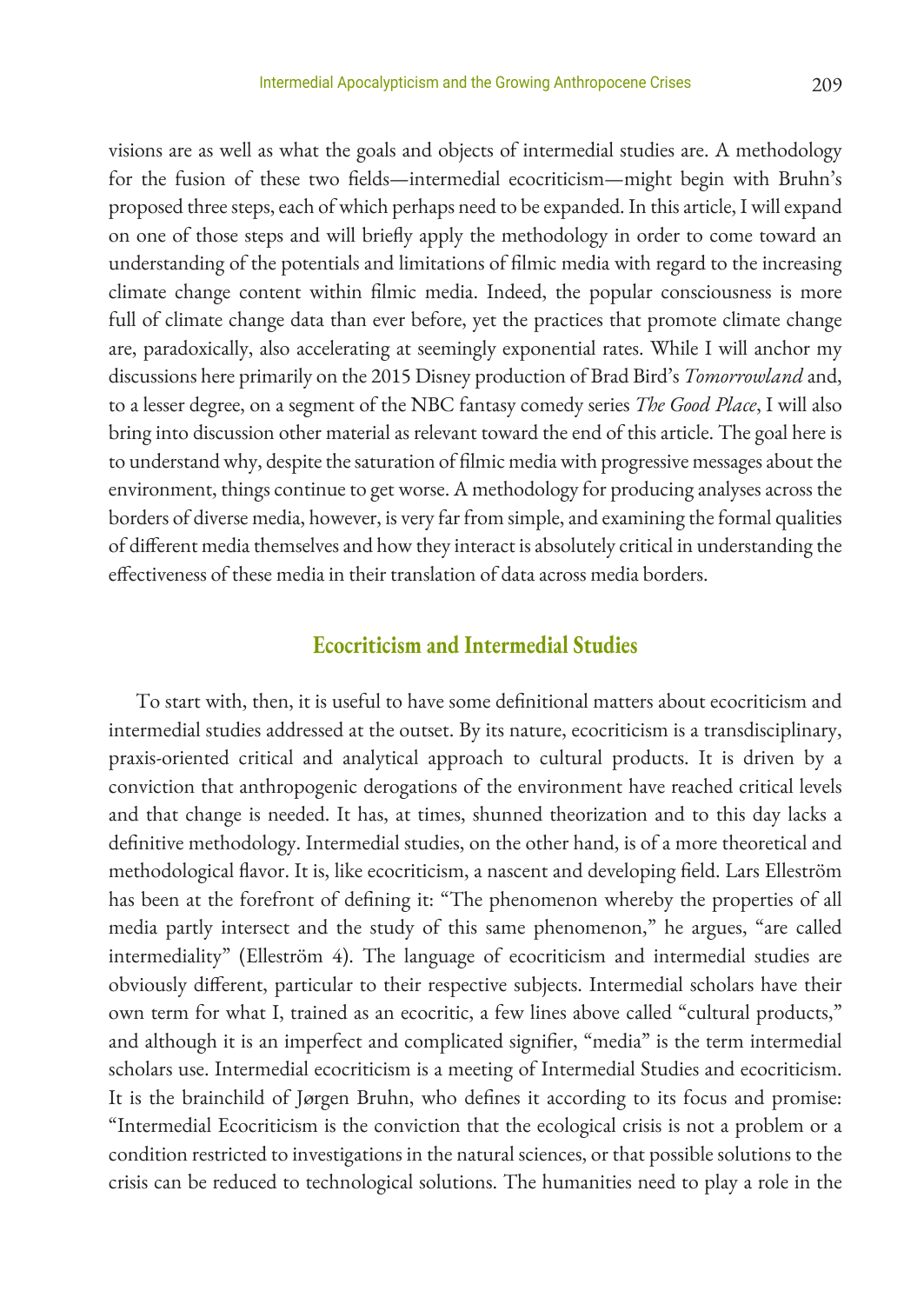visions are as well as what the goals and objects of intermedial studies are. A methodology for the fusion of these two fields—intermedial ecocriticism—might begin with Bruhn's proposed three steps, each of which perhaps need to be expanded. In this article, I will expand on one of those steps and will briefly apply the methodology in order to come toward an understanding of the potentials and limitations of filmic media with regard to the increasing climate change content within filmic media. Indeed, the popular consciousness is more full of climate change data than ever before, yet the practices that promote climate change are, paradoxically, also accelerating at seemingly exponential rates. While I will anchor my discussions here primarily on the 2015 Disney production of Brad Bird's *Tomorrowland* and, to a lesser degree, on a segment of the NBC fantasy comedy series *The Good Place*, I will also bring into discussion other material as relevant toward the end of this article. The goal here is to understand why, despite the saturation of filmic media with progressive messages about the environment, things continue to get worse. A methodology for producing analyses across the borders of diverse media, however, is very far from simple, and examining the formal qualities of different media themselves and how they interact is absolutely critical in understanding the effectiveness of these media in their translation of data across media borders.

## **Ecocriticism and Intermedial Studies**

To start with, then, it is useful to have some definitional matters about ecocriticism and intermedial studies addressed at the outset. By its nature, ecocriticism is a transdisciplinary, praxis-oriented critical and analytical approach to cultural products. It is driven by a conviction that anthropogenic derogations of the environment have reached critical levels and that change is needed. It has, at times, shunned theorization and to this day lacks a definitive methodology. Intermedial studies, on the other hand, is of a more theoretical and methodological flavor. It is, like ecocriticism, a nascent and developing field. Lars Elleström has been at the forefront of defining it: "The phenomenon whereby the properties of all media partly intersect and the study of this same phenomenon," he argues, "are called intermediality" (Elleström 4). The language of ecocriticism and intermedial studies are obviously different, particular to their respective subjects. Intermedial scholars have their own term for what I, trained as an ecocritic, a few lines above called "cultural products," and although it is an imperfect and complicated signifier, "media" is the term intermedial scholars use. Intermedial ecocriticism is a meeting of Intermedial Studies and ecocriticism. It is the brainchild of Jørgen Bruhn, who defines it according to its focus and promise: "Intermedial Ecocriticism is the conviction that the ecological crisis is not a problem or a condition restricted to investigations in the natural sciences, or that possible solutions to the crisis can be reduced to technological solutions. The humanities need to play a role in the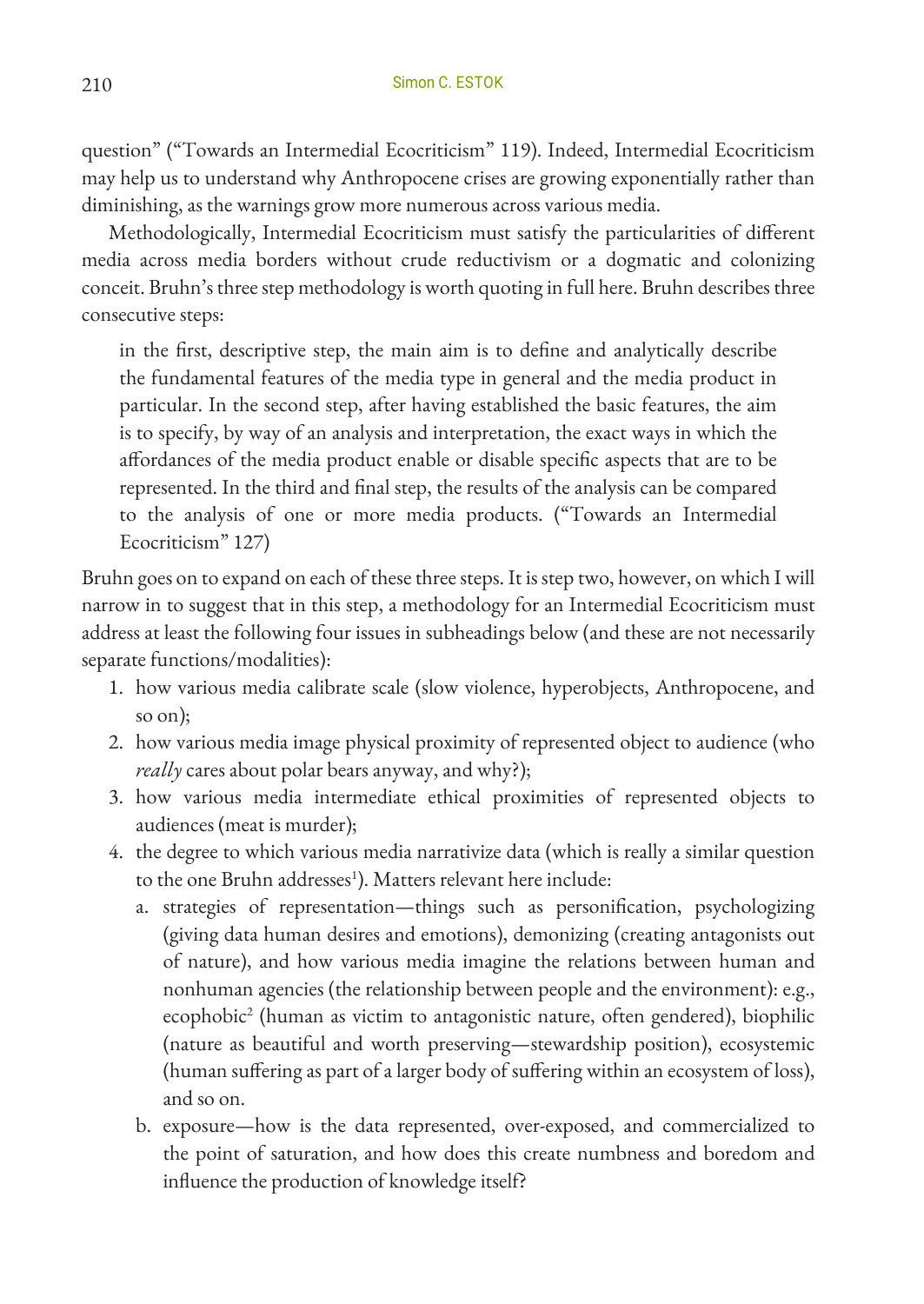question" ("Towards an Intermedial Ecocriticism" 119). Indeed, Intermedial Ecocriticism may help us to understand why Anthropocene crises are growing exponentially rather than diminishing, as the warnings grow more numerous across various media.

Methodologically, Intermedial Ecocriticism must satisfy the particularities of different media across media borders without crude reductivism or a dogmatic and colonizing conceit. Bruhn's three step methodology is worth quoting in full here. Bruhn describes three consecutive steps:

in the first, descriptive step, the main aim is to define and analytically describe the fundamental features of the media type in general and the media product in particular. In the second step, after having established the basic features, the aim is to specify, by way of an analysis and interpretation, the exact ways in which the affordances of the media product enable or disable specific aspects that are to be represented. In the third and final step, the results of the analysis can be compared to the analysis of one or more media products. ("Towards an Intermedial Ecocriticism" 127)

Bruhn goes on to expand on each of these three steps. It is step two, however, on which I will narrow in to suggest that in this step, a methodology for an Intermedial Ecocriticism must address at least the following four issues in subheadings below (and these are not necessarily separate functions/modalities):

- 1. how various media calibrate scale (slow violence, hyperobjects, Anthropocene, and so on);
- 2. how various media image physical proximity of represented object to audience (who *really* cares about polar bears anyway, and why?);
- 3. how various media intermediate ethical proximities of represented objects to audiences (meat is murder);
- 4. the degree to which various media narrativize data (which is really a similar question to the one Bruhn addresses<sup>1</sup>). Matters relevant here include:
	- a. strategies of representation—things such as personification, psychologizing (giving data human desires and emotions), demonizing (creating antagonists out of nature), and how various media imagine the relations between human and nonhuman agencies (the relationship between people and the environment): e.g., ecophobic2 (human as victim to antagonistic nature, often gendered), biophilic (nature as beautiful and worth preserving—stewardship position), ecosystemic (human suffering as part of a larger body of suffering within an ecosystem of loss), and so on.
	- b. exposure—how is the data represented, over-exposed, and commercialized to the point of saturation, and how does this create numbness and boredom and influence the production of knowledge itself?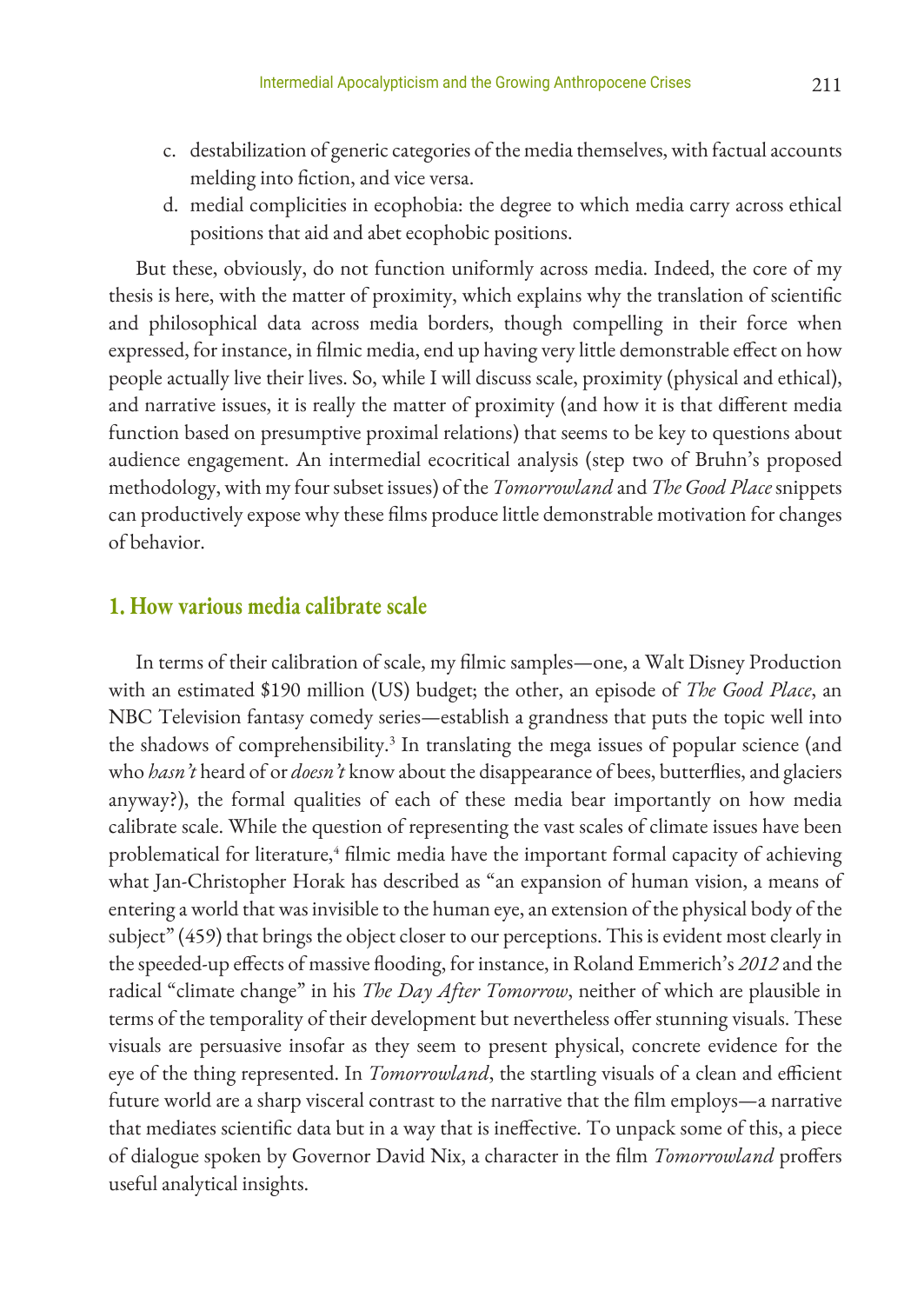- c. destabilization of generic categories of the media themselves, with factual accounts melding into fiction, and vice versa.
- d. medial complicities in ecophobia: the degree to which media carry across ethical positions that aid and abet ecophobic positions.

But these, obviously, do not function uniformly across media. Indeed, the core of my thesis is here, with the matter of proximity, which explains why the translation of scientific and philosophical data across media borders, though compelling in their force when expressed, for instance, in filmic media, end up having very little demonstrable effect on how people actually live their lives. So, while I will discuss scale, proximity (physical and ethical), and narrative issues, it is really the matter of proximity (and how it is that different media function based on presumptive proximal relations) that seems to be key to questions about audience engagement. An intermedial ecocritical analysis (step two of Bruhn's proposed methodology, with my four subset issues) of the *Tomorrowland* and *The Good Place* snippets can productively expose why these films produce little demonstrable motivation for changes of behavior.

## **1. How various media calibrate scale**

In terms of their calibration of scale, my filmic samples—one, a Walt Disney Production with an estimated \$190 million (US) budget; the other, an episode of *The Good Place*, an NBC Television fantasy comedy series—establish a grandness that puts the topic well into the shadows of comprehensibility.<sup>3</sup> In translating the mega issues of popular science (and who *hasn't* heard of or *doesn't* know about the disappearance of bees, butterflies, and glaciers anyway?), the formal qualities of each of these media bear importantly on how media calibrate scale. While the question of representing the vast scales of climate issues have been problematical for literature,<sup>4</sup> filmic media have the important formal capacity of achieving what Jan-Christopher Horak has described as "an expansion of human vision, a means of entering a world that was invisible to the human eye, an extension of the physical body of the subject" (459) that brings the object closer to our perceptions. This is evident most clearly in the speeded-up effects of massive flooding, for instance, in Roland Emmerich's *2012* and the radical "climate change" in his *The Day After Tomorrow*, neither of which are plausible in terms of the temporality of their development but nevertheless offer stunning visuals. These visuals are persuasive insofar as they seem to present physical, concrete evidence for the eye of the thing represented. In *Tomorrowland*, the startling visuals of a clean and efficient future world are a sharp visceral contrast to the narrative that the film employs—a narrative that mediates scientific data but in a way that is ineffective. To unpack some of this, a piece of dialogue spoken by Governor David Nix, a character in the film *Tomorrowland* proffers useful analytical insights.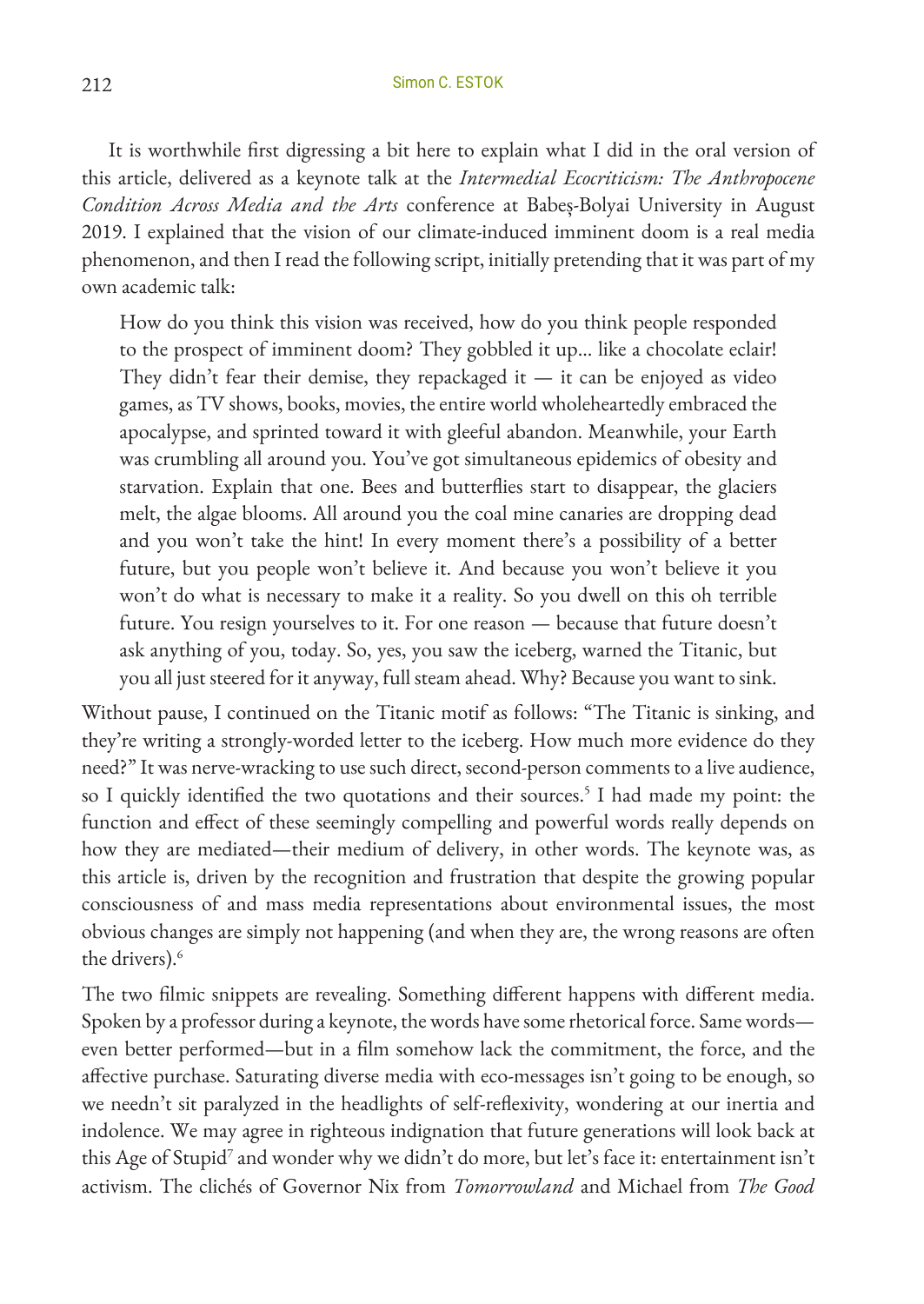It is worthwhile first digressing a bit here to explain what I did in the oral version of this article, delivered as a keynote talk at the *Intermedial Ecocriticism: The Anthropocene Condition Across Media and the Arts* conference at Babeș-Bolyai University in August 2019. I explained that the vision of our climate-induced imminent doom is a real media phenomenon, and then I read the following script, initially pretending that it was part of my own academic talk:

How do you think this vision was received, how do you think people responded to the prospect of imminent doom? They gobbled it up... like a chocolate eclair! They didn't fear their demise, they repackaged it  $-$  it can be enjoyed as video games, as TV shows, books, movies, the entire world wholeheartedly embraced the apocalypse, and sprinted toward it with gleeful abandon. Meanwhile, your Earth was crumbling all around you. You've got simultaneous epidemics of obesity and starvation. Explain that one. Bees and butterflies start to disappear, the glaciers melt, the algae blooms. All around you the coal mine canaries are dropping dead and you won't take the hint! In every moment there's a possibility of a better future, but you people won't believe it. And because you won't believe it you won't do what is necessary to make it a reality. So you dwell on this oh terrible future. You resign yourselves to it. For one reason — because that future doesn't ask anything of you, today. So, yes, you saw the iceberg, warned the Titanic, but you all just steered for it anyway, full steam ahead. Why? Because you want to sink.

Without pause, I continued on the Titanic motif as follows: "The Titanic is sinking, and they're writing a strongly-worded letter to the iceberg. How much more evidence do they need?" It was nerve-wracking to use such direct, second-person comments to a live audience, so I quickly identified the two quotations and their sources.<sup>5</sup> I had made my point: the function and effect of these seemingly compelling and powerful words really depends on how they are mediated—their medium of delivery, in other words. The keynote was, as this article is, driven by the recognition and frustration that despite the growing popular consciousness of and mass media representations about environmental issues, the most obvious changes are simply not happening (and when they are, the wrong reasons are often the drivers).<sup>6</sup>

The two filmic snippets are revealing. Something different happens with different media. Spoken by a professor during a keynote, the words have some rhetorical force. Same words even better performed—but in a film somehow lack the commitment, the force, and the affective purchase. Saturating diverse media with eco-messages isn't going to be enough, so we needn't sit paralyzed in the headlights of self-reflexivity, wondering at our inertia and indolence. We may agree in righteous indignation that future generations will look back at this Age of Stupid<sup>7</sup> and wonder why we didn't do more, but let's face it: entertainment isn't activism. The clichés of Governor Nix from *Tomorrowland* and Michael from *The Good*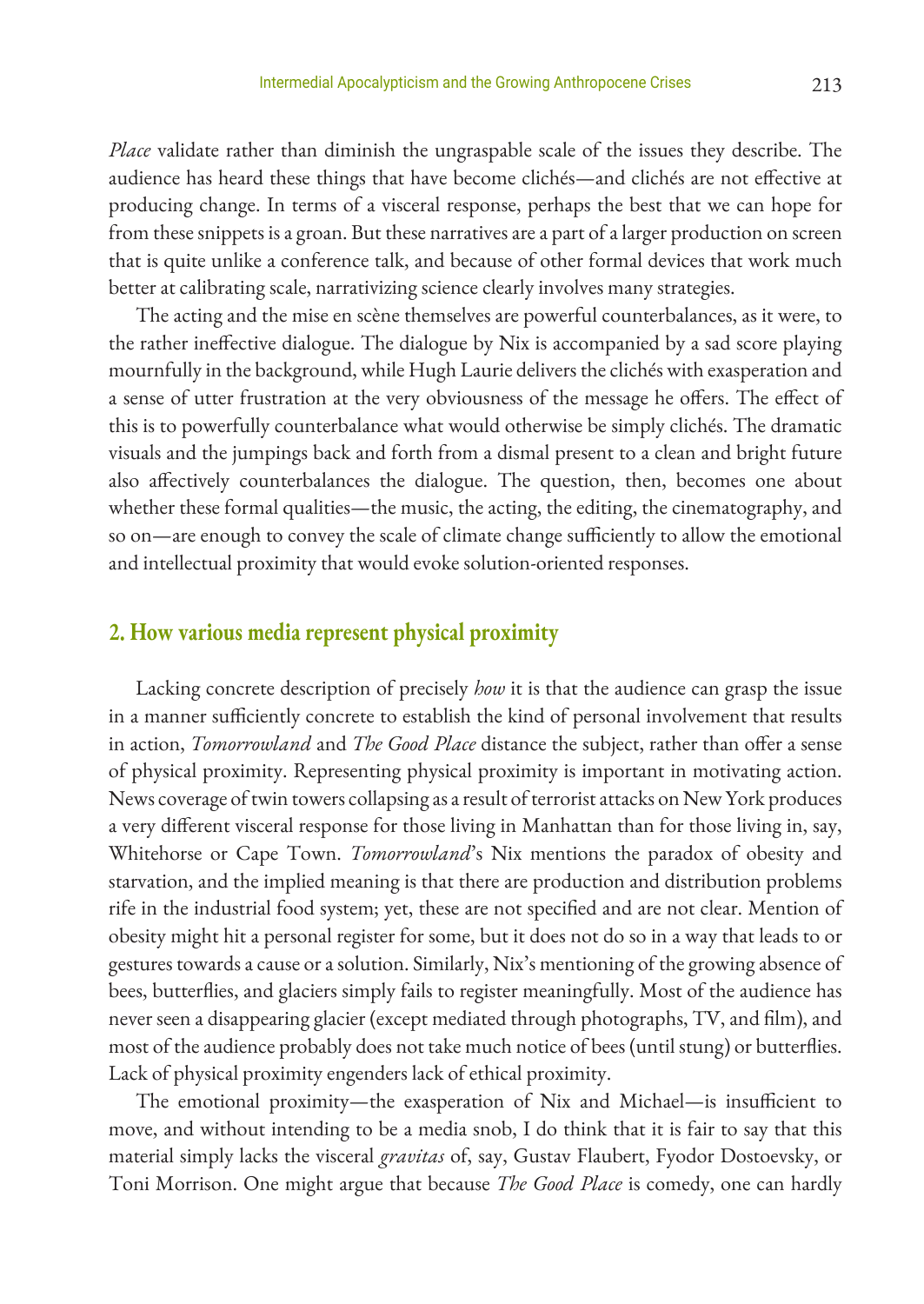*Place* validate rather than diminish the ungraspable scale of the issues they describe. The audience has heard these things that have become clichés—and clichés are not effective at producing change. In terms of a visceral response, perhaps the best that we can hope for from these snippets is a groan. But these narratives are a part of a larger production on screen that is quite unlike a conference talk, and because of other formal devices that work much better at calibrating scale, narrativizing science clearly involves many strategies.

The acting and the mise en scène themselves are powerful counterbalances, as it were, to the rather ineffective dialogue. The dialogue by Nix is accompanied by a sad score playing mournfully in the background, while Hugh Laurie delivers the clichés with exasperation and a sense of utter frustration at the very obviousness of the message he offers. The effect of this is to powerfully counterbalance what would otherwise be simply clichés. The dramatic visuals and the jumpings back and forth from a dismal present to a clean and bright future also affectively counterbalances the dialogue. The question, then, becomes one about whether these formal qualities—the music, the acting, the editing, the cinematography, and so on—are enough to convey the scale of climate change sufficiently to allow the emotional and intellectual proximity that would evoke solution-oriented responses.

## **2. How various media represent physical proximity**

Lacking concrete description of precisely *how* it is that the audience can grasp the issue in a manner sufficiently concrete to establish the kind of personal involvement that results in action, *Tomorrowland* and *The Good Place* distance the subject, rather than offer a sense of physical proximity. Representing physical proximity is important in motivating action. News coverage of twin towers collapsing as a result of terrorist attacks on New York produces a very different visceral response for those living in Manhattan than for those living in, say, Whitehorse or Cape Town. *Tomorrowland*'s Nix mentions the paradox of obesity and starvation, and the implied meaning is that there are production and distribution problems rife in the industrial food system; yet, these are not specified and are not clear. Mention of obesity might hit a personal register for some, but it does not do so in a way that leads to or gestures towards a cause or a solution. Similarly, Nix's mentioning of the growing absence of bees, butterflies, and glaciers simply fails to register meaningfully. Most of the audience has never seen a disappearing glacier (except mediated through photographs, TV, and film), and most of the audience probably does not take much notice of bees (until stung) or butterflies. Lack of physical proximity engenders lack of ethical proximity.

The emotional proximity—the exasperation of Nix and Michael—is insufficient to move, and without intending to be a media snob, I do think that it is fair to say that this material simply lacks the visceral *gravitas* of, say, Gustav Flaubert, Fyodor Dostoevsky, or Toni Morrison. One might argue that because *The Good Place* is comedy, one can hardly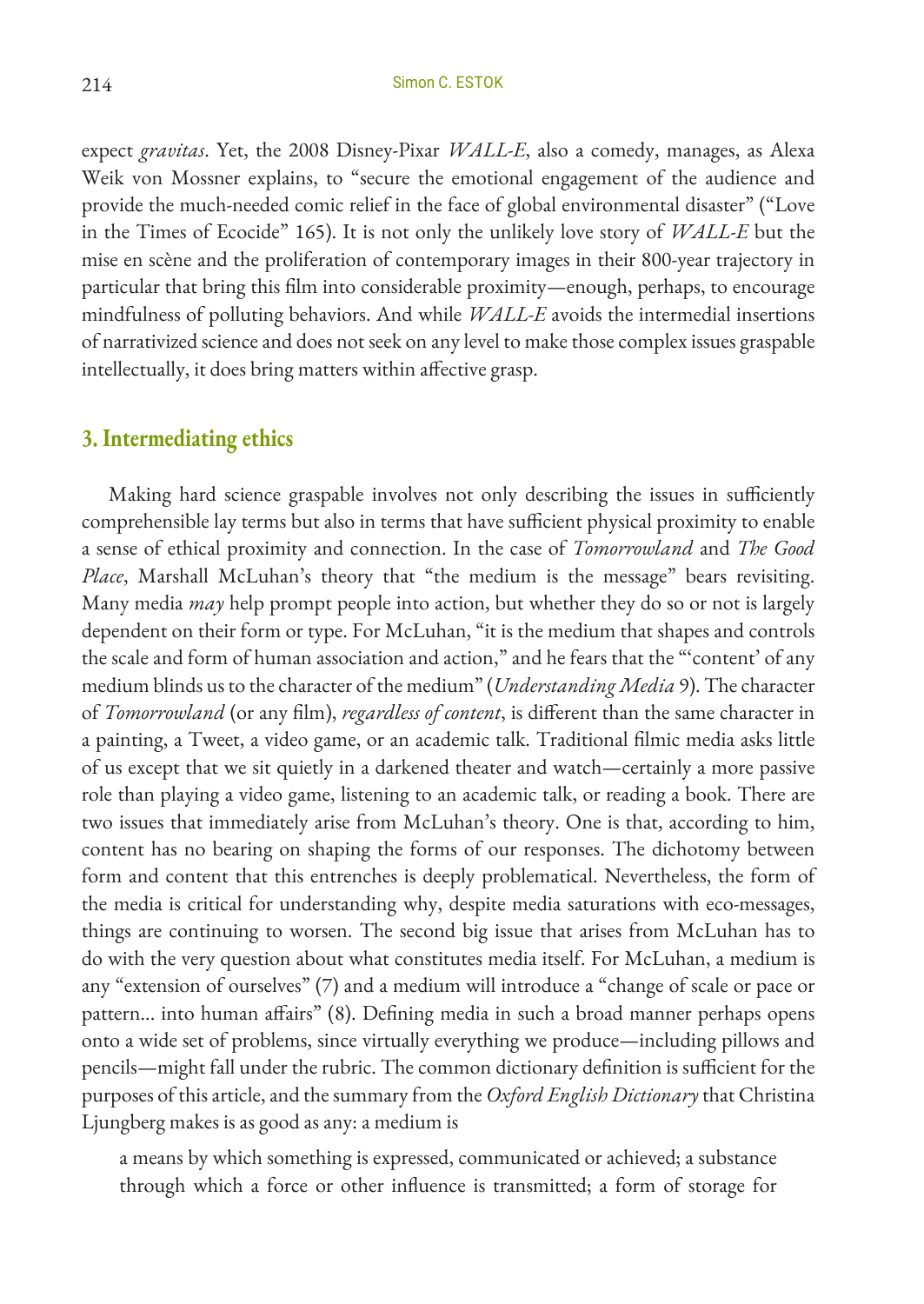expect *gravitas*. Yet, the 2008 Disney-Pixar *WALL-E*, also a comedy, manages, as Alexa Weik von Mossner explains, to "secure the emotional engagement of the audience and provide the much-needed comic relief in the face of global environmental disaster" ("Love in the Times of Ecocide" 165). It is not only the unlikely love story of *WALL-E* but the mise en scène and the proliferation of contemporary images in their 800-year trajectory in particular that bring this film into considerable proximity—enough, perhaps, to encourage mindfulness of polluting behaviors. And while *WALL-E* avoids the intermedial insertions of narrativized science and does not seek on any level to make those complex issues graspable intellectually, it does bring matters within affective grasp.

## **3. Intermediating ethics**

Making hard science graspable involves not only describing the issues in sufficiently comprehensible lay terms but also in terms that have sufficient physical proximity to enable a sense of ethical proximity and connection. In the case of *Tomorrowland* and *The Good Place*, Marshall McLuhan's theory that "the medium is the message" bears revisiting. Many media *may* help prompt people into action, but whether they do so or not is largely dependent on their form or type. For McLuhan, "it is the medium that shapes and controls the scale and form of human association and action," and he fears that the "'content' of any medium blinds us to the character of the medium" (*Understanding Media* 9). The character of *Tomorrowland* (or any film), *regardless of content*, is different than the same character in a painting, a Tweet, a video game, or an academic talk. Traditional filmic media asks little of us except that we sit quietly in a darkened theater and watch—certainly a more passive role than playing a video game, listening to an academic talk, or reading a book. There are two issues that immediately arise from McLuhan's theory. One is that, according to him, content has no bearing on shaping the forms of our responses. The dichotomy between form and content that this entrenches is deeply problematical. Nevertheless, the form of the media is critical for understanding why, despite media saturations with eco-messages, things are continuing to worsen. The second big issue that arises from McLuhan has to do with the very question about what constitutes media itself. For McLuhan, a medium is any "extension of ourselves" (7) and a medium will introduce a "change of scale or pace or pattern... into human affairs" (8). Defining media in such a broad manner perhaps opens onto a wide set of problems, since virtually everything we produce—including pillows and pencils—might fall under the rubric. The common dictionary definition is sufficient for the purposes of this article, and the summary from the *Oxford English Dictionary* that Christina Ljungberg makes is as good as any: a medium is

a means by which something is expressed, communicated or achieved; a substance through which a force or other influence is transmitted; a form of storage for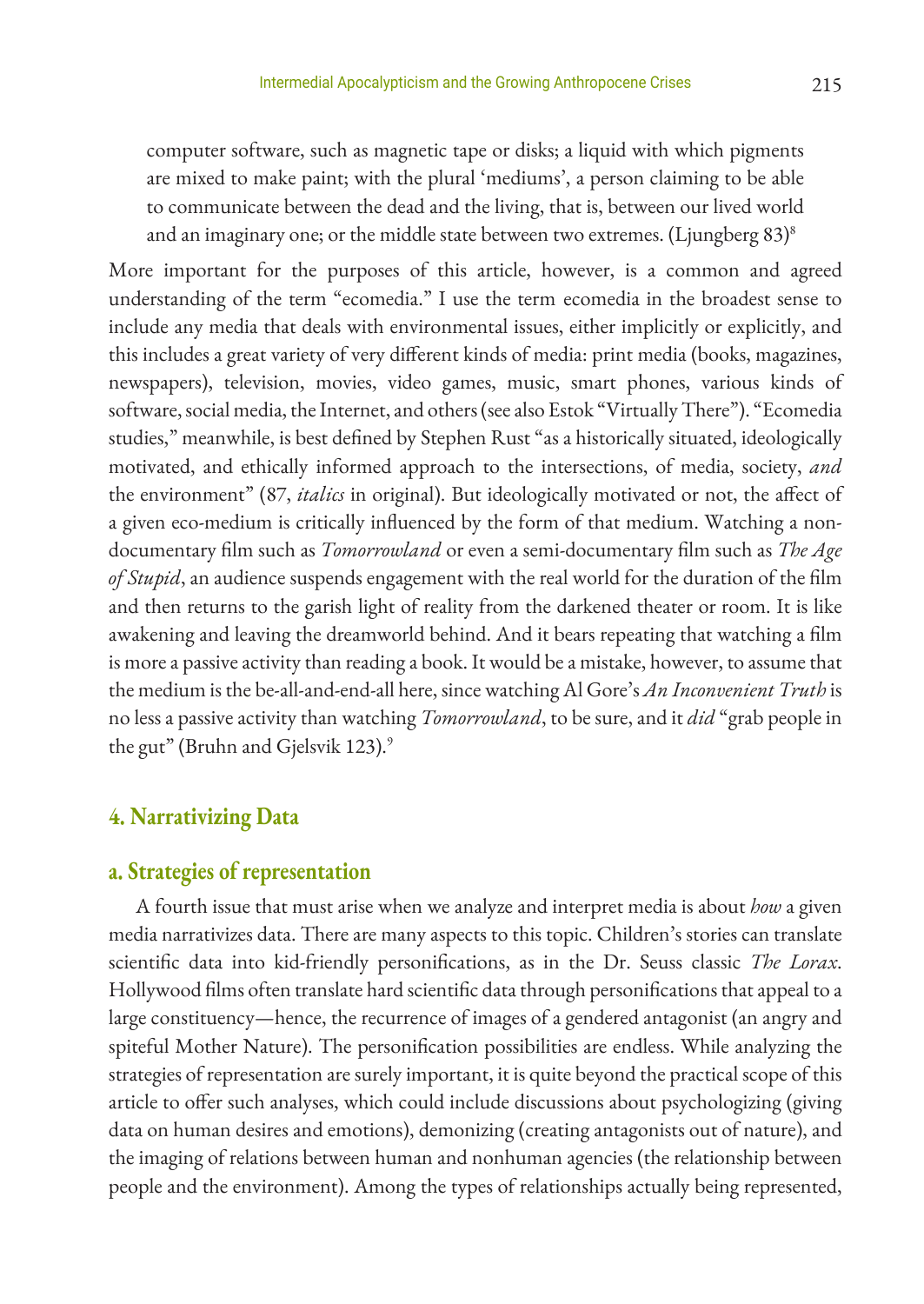computer software, such as magnetic tape or disks; a liquid with which pigments are mixed to make paint; with the plural 'mediums', a person claiming to be able to communicate between the dead and the living, that is, between our lived world and an imaginary one; or the middle state between two extremes. (Ljungberg  $83$ )<sup>8</sup>

More important for the purposes of this article, however, is a common and agreed understanding of the term "ecomedia." I use the term ecomedia in the broadest sense to include any media that deals with environmental issues, either implicitly or explicitly, and this includes a great variety of very different kinds of media: print media (books, magazines, newspapers), television, movies, video games, music, smart phones, various kinds of software, social media, the Internet, and others (see also Estok "Virtually There"). "Ecomedia studies," meanwhile, is best defined by Stephen Rust "as a historically situated, ideologically motivated, and ethically informed approach to the intersections, of media, society, *and* the environment" (87, *italics* in original). But ideologically motivated or not, the affect of a given eco-medium is critically influenced by the form of that medium. Watching a nondocumentary film such as *Tomorrowland* or even a semi-documentary film such as *The Age of Stupid*, an audience suspends engagement with the real world for the duration of the film and then returns to the garish light of reality from the darkened theater or room. It is like awakening and leaving the dreamworld behind. And it bears repeating that watching a film is more a passive activity than reading a book. It would be a mistake, however, to assume that the medium is the be-all-and-end-all here, since watching Al Gore's *An Inconvenient Truth* is no less a passive activity than watching *Tomorrowland*, to be sure, and it *did* "grab people in the gut" (Bruhn and Gjelsvik 123).<sup>9</sup>

## **4. Narrativizing Data**

## **a. Strategies of representation**

A fourth issue that must arise when we analyze and interpret media is about *how* a given media narrativizes data. There are many aspects to this topic. Children's stories can translate scientific data into kid-friendly personifications, as in the Dr. Seuss classic *The Lorax*. Hollywood films often translate hard scientific data through personifications that appeal to a large constituency—hence, the recurrence of images of a gendered antagonist (an angry and spiteful Mother Nature). The personification possibilities are endless. While analyzing the strategies of representation are surely important, it is quite beyond the practical scope of this article to offer such analyses, which could include discussions about psychologizing (giving data on human desires and emotions), demonizing (creating antagonists out of nature), and the imaging of relations between human and nonhuman agencies (the relationship between people and the environment). Among the types of relationships actually being represented,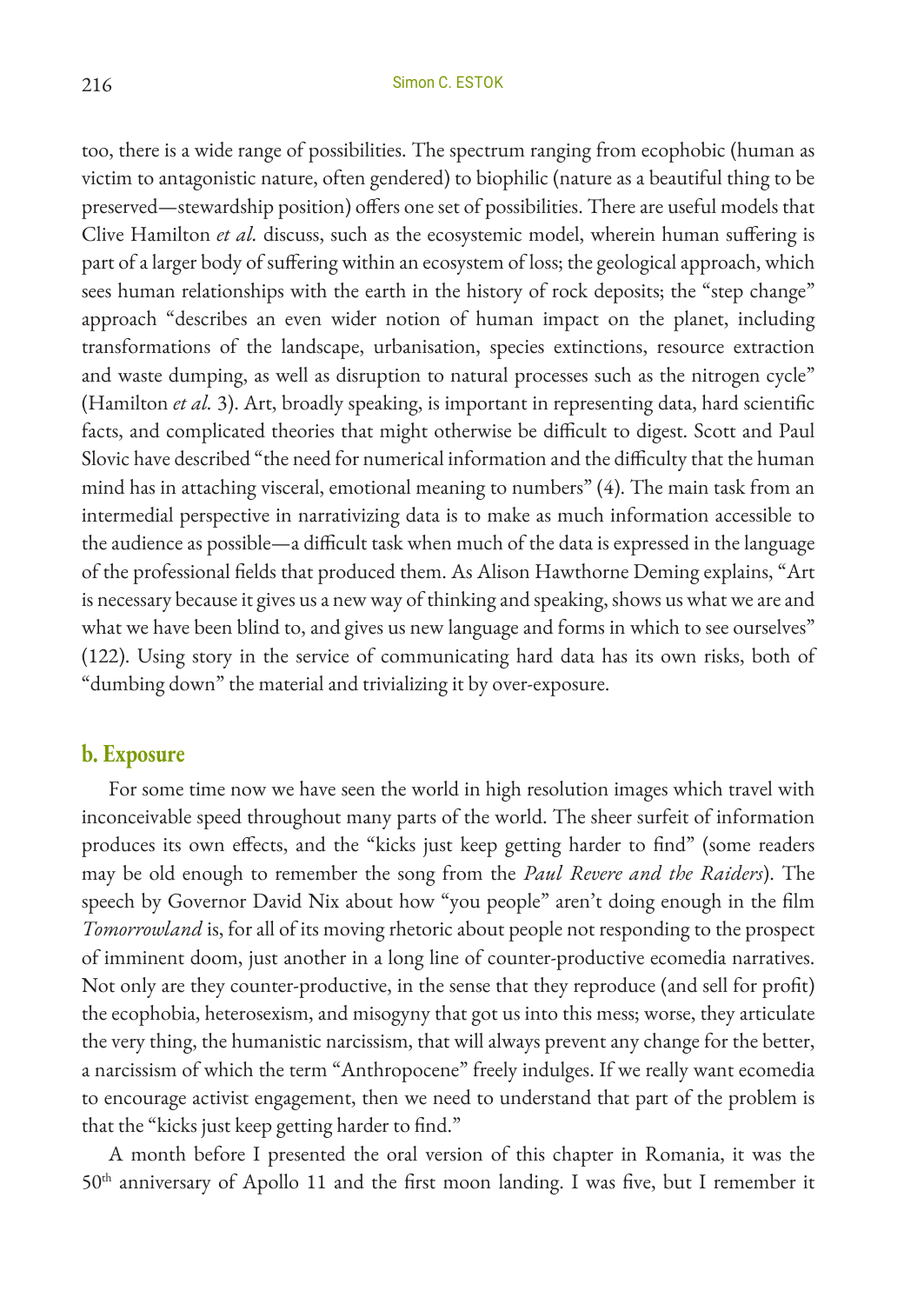too, there is a wide range of possibilities. The spectrum ranging from ecophobic (human as victim to antagonistic nature, often gendered) to biophilic (nature as a beautiful thing to be preserved—stewardship position) offers one set of possibilities. There are useful models that Clive Hamilton *et al.* discuss, such as the ecosystemic model, wherein human suffering is part of a larger body of suffering within an ecosystem of loss; the geological approach, which sees human relationships with the earth in the history of rock deposits; the "step change" approach "describes an even wider notion of human impact on the planet, including transformations of the landscape, urbanisation, species extinctions, resource extraction and waste dumping, as well as disruption to natural processes such as the nitrogen cycle" (Hamilton *et al.* 3). Art, broadly speaking, is important in representing data, hard scientific facts, and complicated theories that might otherwise be difficult to digest. Scott and Paul Slovic have described "the need for numerical information and the difficulty that the human mind has in attaching visceral, emotional meaning to numbers" (4). The main task from an intermedial perspective in narrativizing data is to make as much information accessible to the audience as possible—a difficult task when much of the data is expressed in the language of the professional fields that produced them. As Alison Hawthorne Deming explains, "Art is necessary because it gives us a new way of thinking and speaking, shows us what we are and what we have been blind to, and gives us new language and forms in which to see ourselves" (122). Using story in the service of communicating hard data has its own risks, both of "dumbing down" the material and trivializing it by over-exposure.

#### **b. Exposure**

For some time now we have seen the world in high resolution images which travel with inconceivable speed throughout many parts of the world. The sheer surfeit of information produces its own effects, and the "kicks just keep getting harder to find" (some readers may be old enough to remember the song from the *Paul Revere and the Raiders*). The speech by Governor David Nix about how "you people" aren't doing enough in the film *Tomorrowland* is, for all of its moving rhetoric about people not responding to the prospect of imminent doom, just another in a long line of counter-productive ecomedia narratives. Not only are they counter-productive, in the sense that they reproduce (and sell for profit) the ecophobia, heterosexism, and misogyny that got us into this mess; worse, they articulate the very thing, the humanistic narcissism, that will always prevent any change for the better, a narcissism of which the term "Anthropocene" freely indulges. If we really want ecomedia to encourage activist engagement, then we need to understand that part of the problem is that the "kicks just keep getting harder to find."

A month before I presented the oral version of this chapter in Romania, it was the 50<sup>th</sup> anniversary of Apollo 11 and the first moon landing. I was five, but I remember it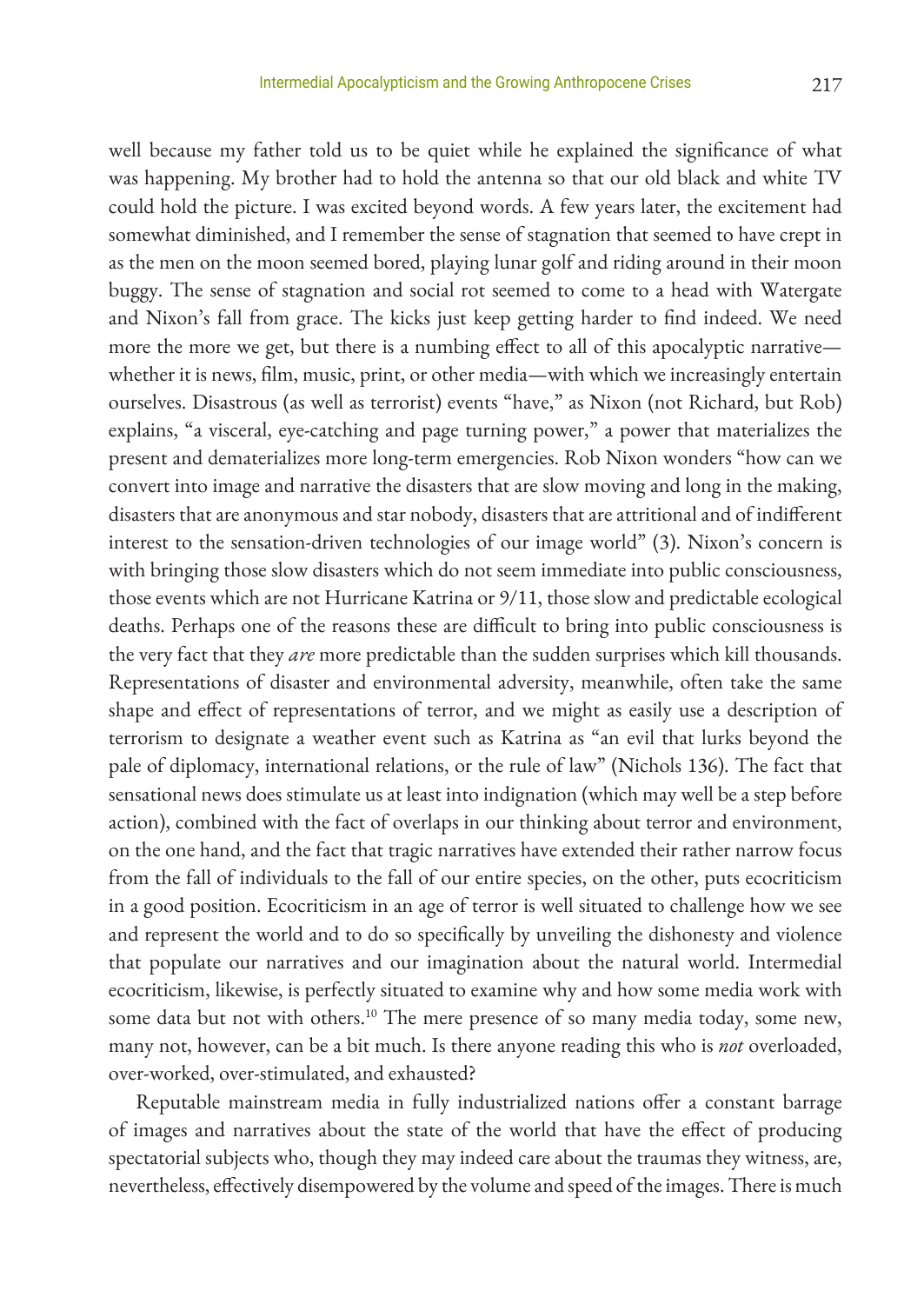well because my father told us to be quiet while he explained the significance of what was happening. My brother had to hold the antenna so that our old black and white TV could hold the picture. I was excited beyond words. A few years later, the excitement had somewhat diminished, and I remember the sense of stagnation that seemed to have crept in as the men on the moon seemed bored, playing lunar golf and riding around in their moon buggy. The sense of stagnation and social rot seemed to come to a head with Watergate and Nixon's fall from grace. The kicks just keep getting harder to find indeed. We need more the more we get, but there is a numbing effect to all of this apocalyptic narrative whether it is news, film, music, print, or other media—with which we increasingly entertain ourselves. Disastrous (as well as terrorist) events "have," as Nixon (not Richard, but Rob) explains, "a visceral, eye-catching and page turning power," a power that materializes the present and dematerializes more long-term emergencies. Rob Nixon wonders "how can we convert into image and narrative the disasters that are slow moving and long in the making, disasters that are anonymous and star nobody, disasters that are attritional and of indifferent interest to the sensation-driven technologies of our image world" (3). Nixon's concern is with bringing those slow disasters which do not seem immediate into public consciousness, those events which are not Hurricane Katrina or 9/11, those slow and predictable ecological deaths. Perhaps one of the reasons these are difficult to bring into public consciousness is the very fact that they *are* more predictable than the sudden surprises which kill thousands. Representations of disaster and environmental adversity, meanwhile, often take the same shape and effect of representations of terror, and we might as easily use a description of terrorism to designate a weather event such as Katrina as "an evil that lurks beyond the pale of diplomacy, international relations, or the rule of law" (Nichols 136). The fact that sensational news does stimulate us at least into indignation (which may well be a step before action), combined with the fact of overlaps in our thinking about terror and environment, on the one hand, and the fact that tragic narratives have extended their rather narrow focus from the fall of individuals to the fall of our entire species, on the other, puts ecocriticism in a good position. Ecocriticism in an age of terror is well situated to challenge how we see and represent the world and to do so specifically by unveiling the dishonesty and violence that populate our narratives and our imagination about the natural world. Intermedial ecocriticism, likewise, is perfectly situated to examine why and how some media work with some data but not with others.<sup>10</sup> The mere presence of so many media today, some new, many not, however, can be a bit much. Is there anyone reading this who is *not* overloaded, over-worked, over-stimulated, and exhausted?

Reputable mainstream media in fully industrialized nations offer a constant barrage of images and narratives about the state of the world that have the effect of producing spectatorial subjects who, though they may indeed care about the traumas they witness, are, nevertheless, effectively disempowered by the volume and speed of the images. There is much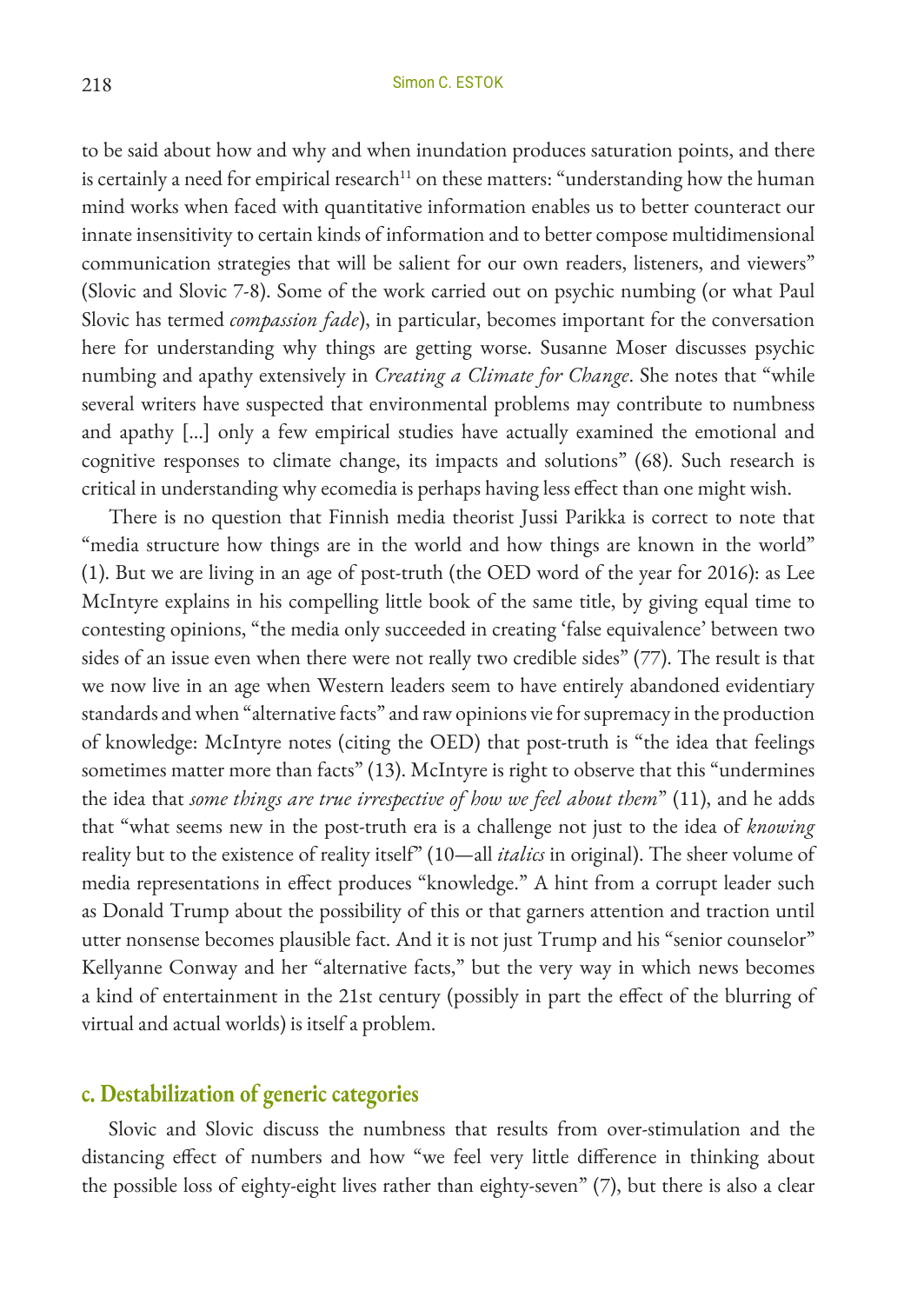to be said about how and why and when inundation produces saturation points, and there is certainly a need for empirical research<sup>11</sup> on these matters: "understanding how the human mind works when faced with quantitative information enables us to better counteract our innate insensitivity to certain kinds of information and to better compose multidimensional communication strategies that will be salient for our own readers, listeners, and viewers" (Slovic and Slovic 7-8). Some of the work carried out on psychic numbing (or what Paul Slovic has termed *compassion fade*), in particular, becomes important for the conversation here for understanding why things are getting worse. Susanne Moser discusses psychic numbing and apathy extensively in *Creating a Climate for Change*. She notes that "while several writers have suspected that environmental problems may contribute to numbness and apathy […] only a few empirical studies have actually examined the emotional and cognitive responses to climate change, its impacts and solutions" (68). Such research is critical in understanding why ecomedia is perhaps having less effect than one might wish.

There is no question that Finnish media theorist Jussi Parikka is correct to note that "media structure how things are in the world and how things are known in the world" (1). But we are living in an age of post-truth (the OED word of the year for 2016): as Lee McIntyre explains in his compelling little book of the same title, by giving equal time to contesting opinions, "the media only succeeded in creating 'false equivalence' between two sides of an issue even when there were not really two credible sides" (77). The result is that we now live in an age when Western leaders seem to have entirely abandoned evidentiary standards and when "alternative facts" and raw opinions vie for supremacy in the production of knowledge: McIntyre notes (citing the OED) that post-truth is "the idea that feelings sometimes matter more than facts" (13). McIntyre is right to observe that this "undermines the idea that *some things are true irrespective of how we feel about them*" (11), and he adds that "what seems new in the post-truth era is a challenge not just to the idea of *knowing* reality but to the existence of reality itself" (10—all *italics* in original). The sheer volume of media representations in effect produces "knowledge." A hint from a corrupt leader such as Donald Trump about the possibility of this or that garners attention and traction until utter nonsense becomes plausible fact. And it is not just Trump and his "senior counselor" Kellyanne Conway and her "alternative facts," but the very way in which news becomes a kind of entertainment in the 21st century (possibly in part the effect of the blurring of virtual and actual worlds) is itself a problem.

#### **c. Destabilization of generic categories**

Slovic and Slovic discuss the numbness that results from over-stimulation and the distancing effect of numbers and how "we feel very little difference in thinking about the possible loss of eighty-eight lives rather than eighty-seven" (7), but there is also a clear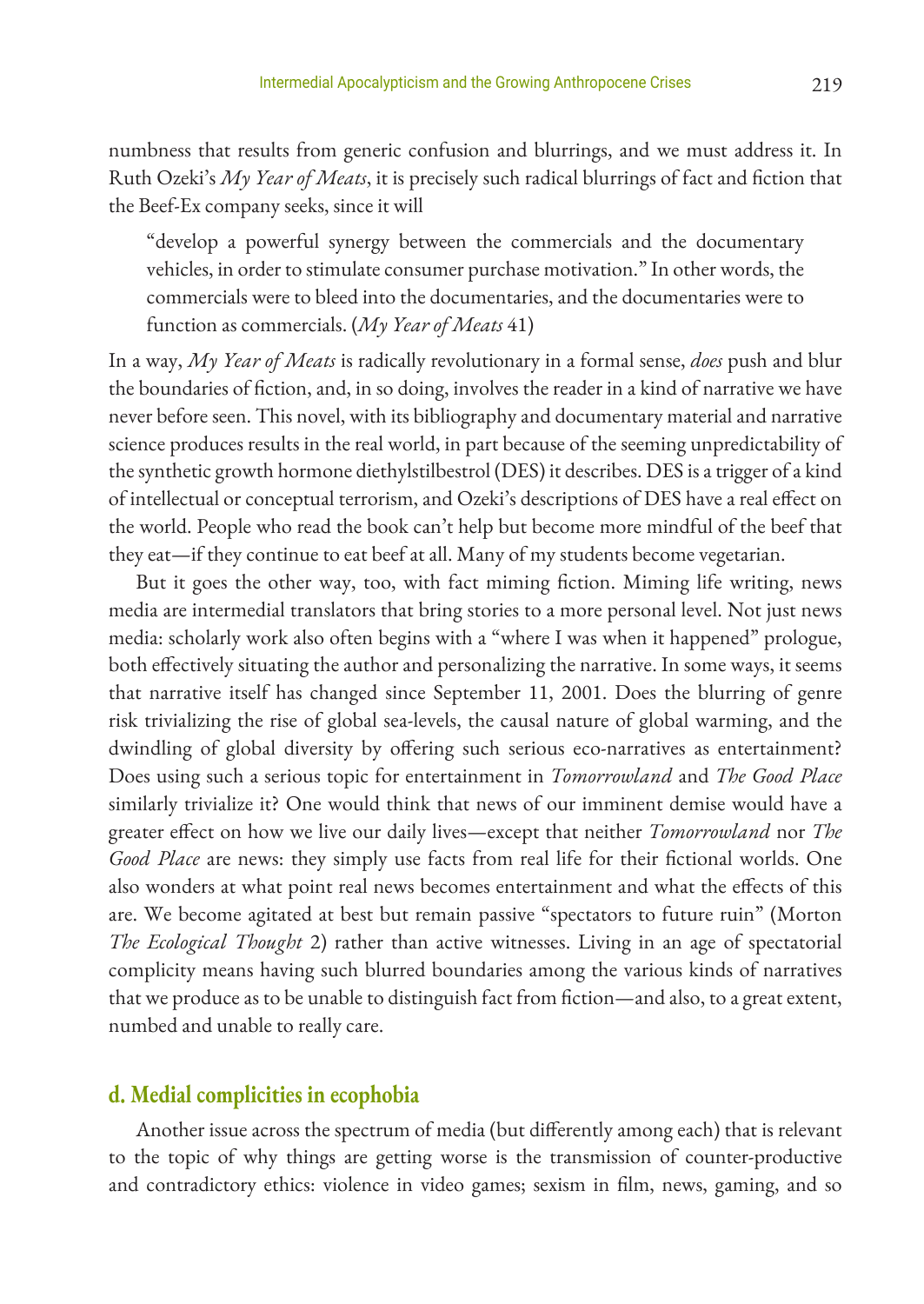numbness that results from generic confusion and blurrings, and we must address it. In Ruth Ozeki's *My Year of Meats*, it is precisely such radical blurrings of fact and fiction that the Beef-Ex company seeks, since it will

"develop a powerful synergy between the commercials and the documentary vehicles, in order to stimulate consumer purchase motivation." In other words, the commercials were to bleed into the documentaries, and the documentaries were to function as commercials. (*My Year of Meats* 41)

In a way, *My Year of Meats* is radically revolutionary in a formal sense, *does* push and blur the boundaries of fiction, and, in so doing, involves the reader in a kind of narrative we have never before seen. This novel, with its bibliography and documentary material and narrative science produces results in the real world, in part because of the seeming unpredictability of the synthetic growth hormone diethylstilbestrol (DES) it describes. DES is a trigger of a kind of intellectual or conceptual terrorism, and Ozeki's descriptions of DES have a real effect on the world. People who read the book can't help but become more mindful of the beef that they eat—if they continue to eat beef at all. Many of my students become vegetarian.

But it goes the other way, too, with fact miming fiction. Miming life writing, news media are intermedial translators that bring stories to a more personal level. Not just news media: scholarly work also often begins with a "where I was when it happened" prologue, both effectively situating the author and personalizing the narrative. In some ways, it seems that narrative itself has changed since September 11, 2001. Does the blurring of genre risk trivializing the rise of global sea-levels, the causal nature of global warming, and the dwindling of global diversity by offering such serious eco-narratives as entertainment? Does using such a serious topic for entertainment in *Tomorrowland* and *The Good Place* similarly trivialize it? One would think that news of our imminent demise would have a greater effect on how we live our daily lives—except that neither *Tomorrowland* nor *The Good Place* are news: they simply use facts from real life for their fictional worlds. One also wonders at what point real news becomes entertainment and what the effects of this are. We become agitated at best but remain passive "spectators to future ruin" (Morton *The Ecological Thought* 2) rather than active witnesses. Living in an age of spectatorial complicity means having such blurred boundaries among the various kinds of narratives that we produce as to be unable to distinguish fact from fiction—and also, to a great extent, numbed and unable to really care.

## **d. Medial complicities in ecophobia**

Another issue across the spectrum of media (but differently among each) that is relevant to the topic of why things are getting worse is the transmission of counter-productive and contradictory ethics: violence in video games; sexism in film, news, gaming, and so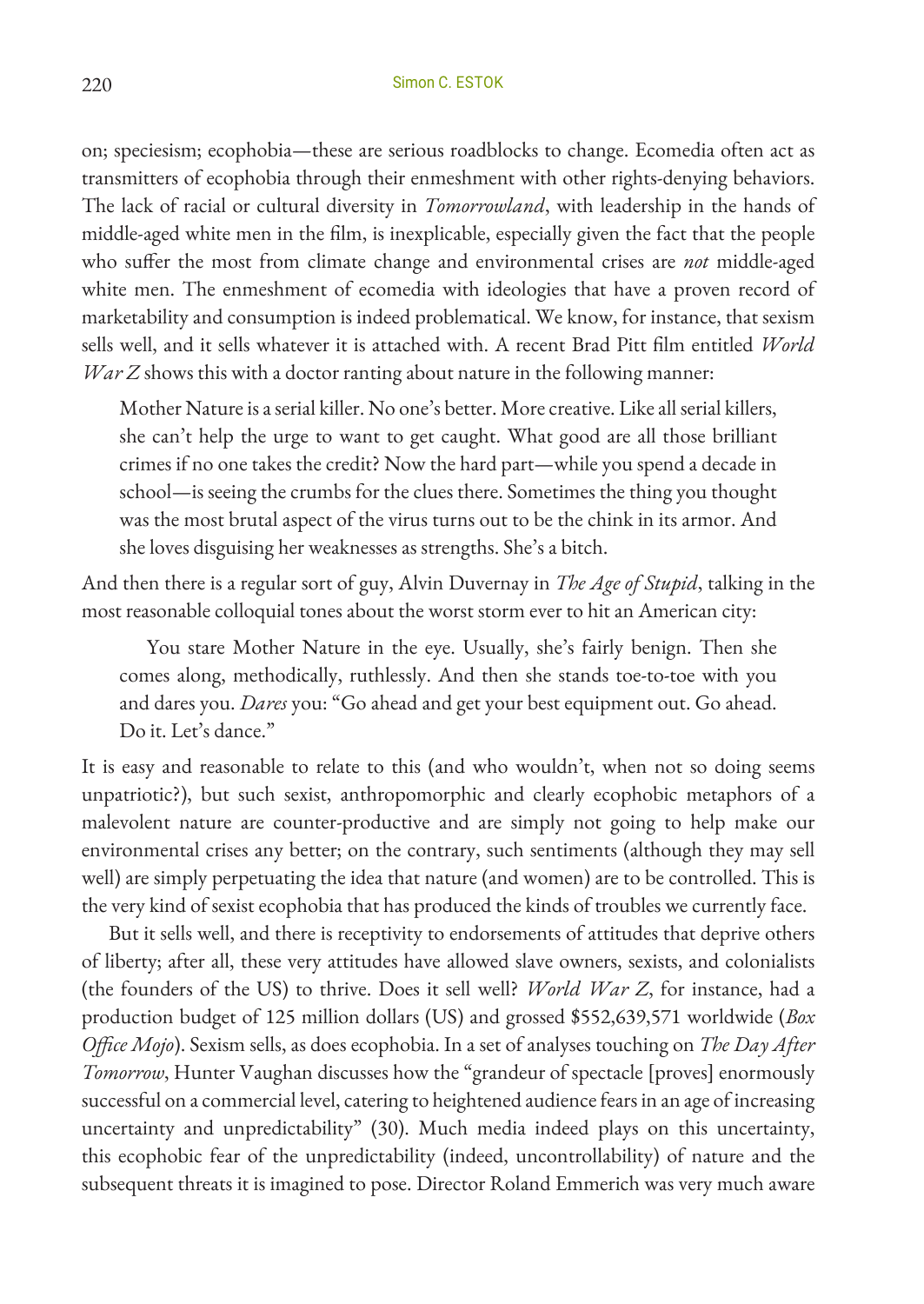on; speciesism; ecophobia—these are serious roadblocks to change. Ecomedia often act as transmitters of ecophobia through their enmeshment with other rights-denying behaviors. The lack of racial or cultural diversity in *Tomorrowland*, with leadership in the hands of middle-aged white men in the film, is inexplicable, especially given the fact that the people who suffer the most from climate change and environmental crises are *not* middle-aged white men. The enmeshment of ecomedia with ideologies that have a proven record of marketability and consumption is indeed problematical. We know, for instance, that sexism sells well, and it sells whatever it is attached with. A recent Brad Pitt film entitled *World War Z* shows this with a doctor ranting about nature in the following manner:

Mother Nature is a serial killer. No one's better. More creative. Like all serial killers, she can't help the urge to want to get caught. What good are all those brilliant crimes if no one takes the credit? Now the hard part—while you spend a decade in school—is seeing the crumbs for the clues there. Sometimes the thing you thought was the most brutal aspect of the virus turns out to be the chink in its armor. And she loves disguising her weaknesses as strengths. She's a bitch.

And then there is a regular sort of guy, Alvin Duvernay in *The Age of Stupid*, talking in the most reasonable colloquial tones about the worst storm ever to hit an American city:

You stare Mother Nature in the eye. Usually, she's fairly benign. Then she comes along, methodically, ruthlessly. And then she stands toe-to-toe with you and dares you. *Dares* you: "Go ahead and get your best equipment out. Go ahead. Do it. Let's dance."

It is easy and reasonable to relate to this (and who wouldn't, when not so doing seems unpatriotic?), but such sexist, anthropomorphic and clearly ecophobic metaphors of a malevolent nature are counter-productive and are simply not going to help make our environmental crises any better; on the contrary, such sentiments (although they may sell well) are simply perpetuating the idea that nature (and women) are to be controlled. This is the very kind of sexist ecophobia that has produced the kinds of troubles we currently face.

But it sells well, and there is receptivity to endorsements of attitudes that deprive others of liberty; after all, these very attitudes have allowed slave owners, sexists, and colonialists (the founders of the US) to thrive. Does it sell well? *World War Z*, for instance, had a production budget of 125 million dollars (US) and grossed \$552,639,571 worldwide (*Box Office Mojo*). Sexism sells, as does ecophobia. In a set of analyses touching on *The Day After Tomorrow*, Hunter Vaughan discusses how the "grandeur of spectacle [proves] enormously successful on a commercial level, catering to heightened audience fears in an age of increasing uncertainty and unpredictability" (30). Much media indeed plays on this uncertainty, this ecophobic fear of the unpredictability (indeed, uncontrollability) of nature and the subsequent threats it is imagined to pose. Director Roland Emmerich was very much aware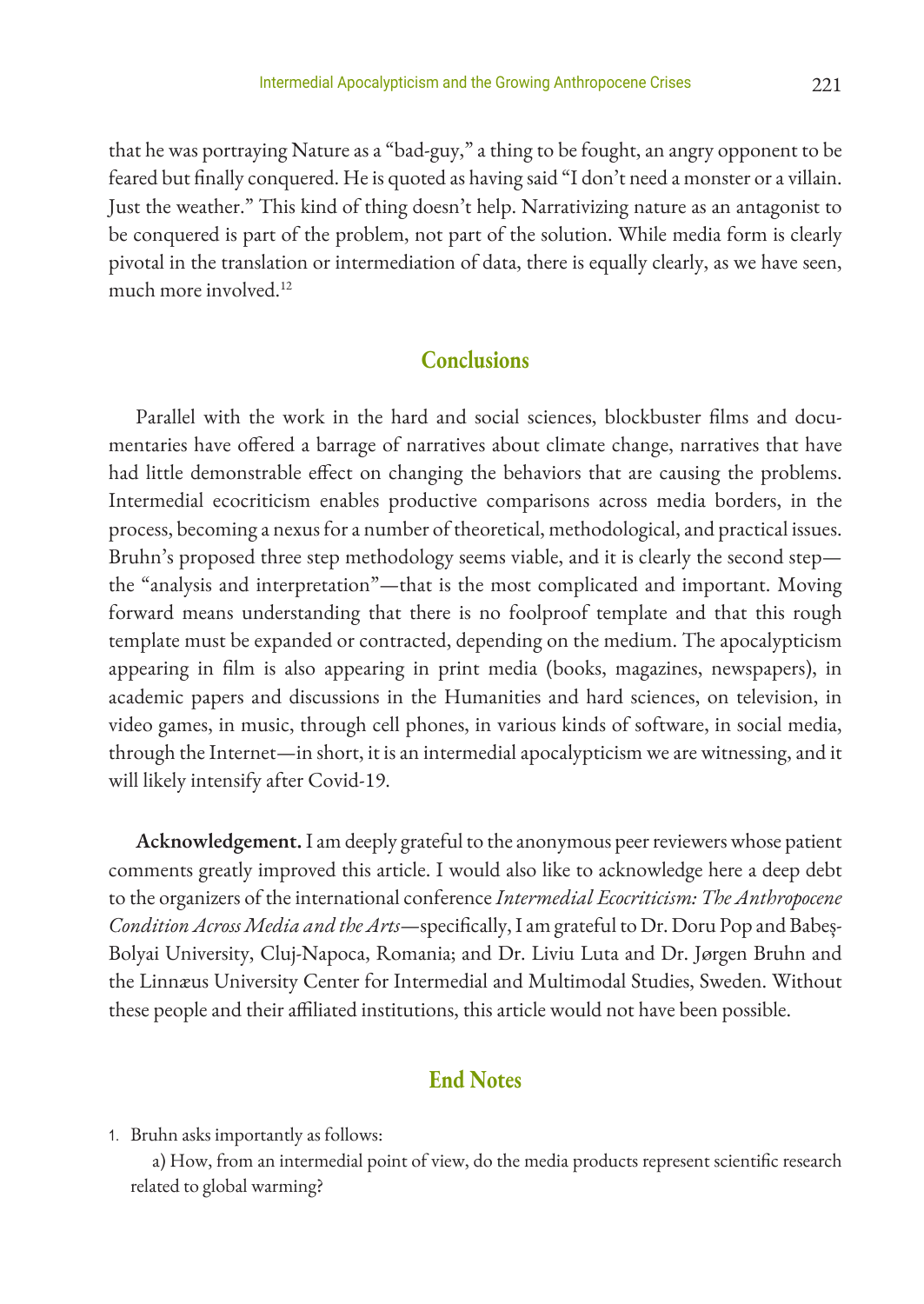that he was portraying Nature as a "bad-guy," a thing to be fought, an angry opponent to be feared but finally conquered. He is quoted as having said "I don't need a monster or a villain. Just the weather." This kind of thing doesn't help. Narrativizing nature as an antagonist to be conquered is part of the problem, not part of the solution. While media form is clearly pivotal in the translation or intermediation of data, there is equally clearly, as we have seen, much more involved.12

### **Conclusions**

Parallel with the work in the hard and social sciences, blockbuster films and documentaries have offered a barrage of narratives about climate change, narratives that have had little demonstrable effect on changing the behaviors that are causing the problems. Intermedial ecocriticism enables productive comparisons across media borders, in the process, becoming a nexus for a number of theoretical, methodological, and practical issues. Bruhn's proposed three step methodology seems viable, and it is clearly the second step the "analysis and interpretation"—that is the most complicated and important. Moving forward means understanding that there is no foolproof template and that this rough template must be expanded or contracted, depending on the medium. The apocalypticism appearing in film is also appearing in print media (books, magazines, newspapers), in academic papers and discussions in the Humanities and hard sciences, on television, in video games, in music, through cell phones, in various kinds of software, in social media, through the Internet—in short, it is an intermedial apocalypticism we are witnessing, and it will likely intensify after Covid-19.

**Acknowledgement.** I am deeply grateful to the anonymous peer reviewers whose patient comments greatly improved this article. I would also like to acknowledge here a deep debt to the organizers of the international conference *Intermedial Ecocriticism: The Anthropocene Condition Across Media and the Arts*—specifically, I am grateful to Dr. Doru Pop and Babeș-Bolyai University, Cluj-Napoca, Romania; and Dr. Liviu Luta and Dr. Jørgen Bruhn and the Linnæus University Center for Intermedial and Multimodal Studies, Sweden. Without these people and their affiliated institutions, this article would not have been possible.

## **End Notes**

1. Bruhn asks importantly as follows:

a) How, from an intermedial point of view, do the media products represent scientific research related to global warming?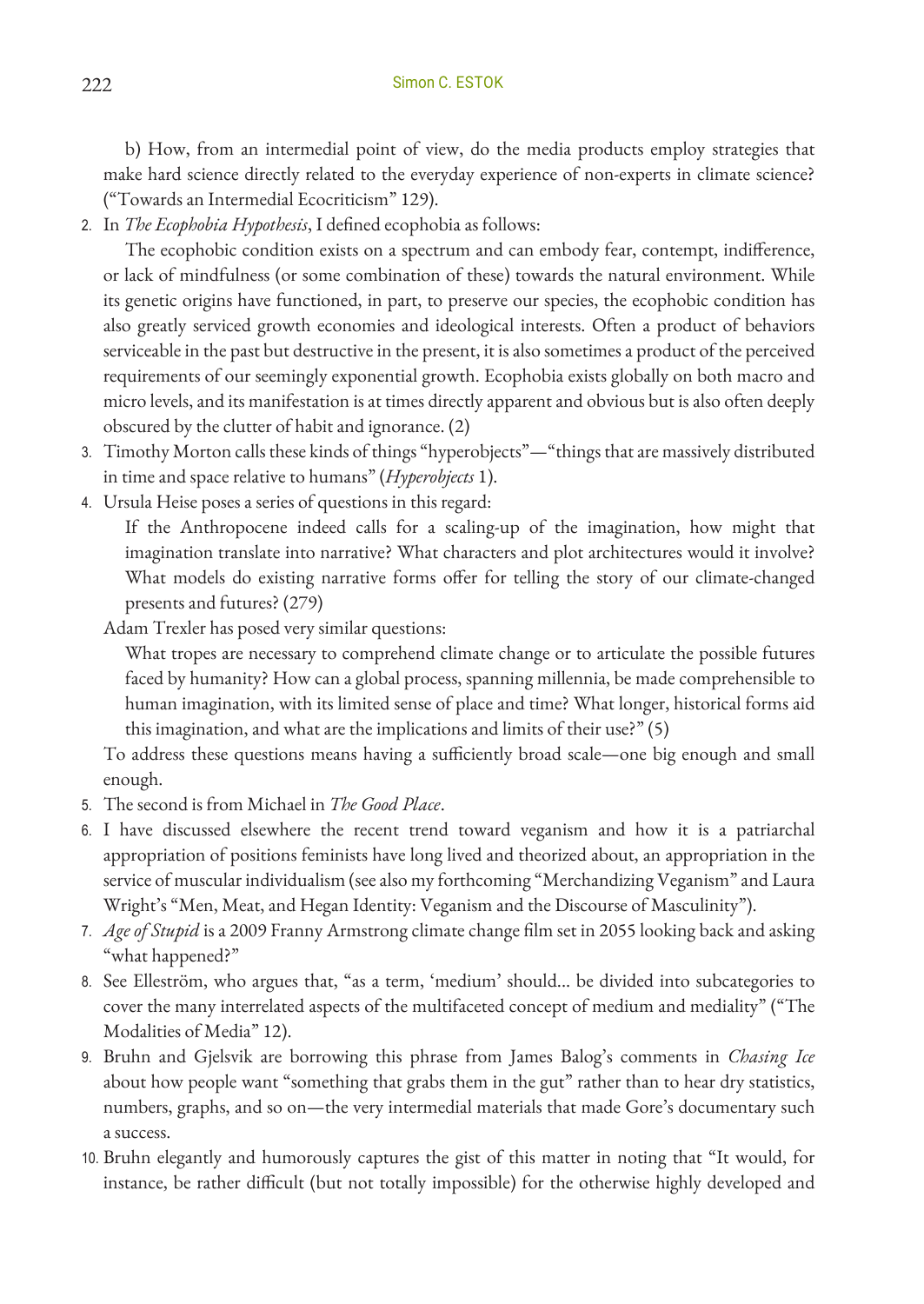b) How, from an intermedial point of view, do the media products employ strategies that make hard science directly related to the everyday experience of non-experts in climate science? ("Towards an Intermedial Ecocriticism" 129).

2. In *The Ecophobia Hypothesis*, I defined ecophobia as follows:

The ecophobic condition exists on a spectrum and can embody fear, contempt, indifference, or lack of mindfulness (or some combination of these) towards the natural environment. While its genetic origins have functioned, in part, to preserve our species, the ecophobic condition has also greatly serviced growth economies and ideological interests. Often a product of behaviors serviceable in the past but destructive in the present, it is also sometimes a product of the perceived requirements of our seemingly exponential growth. Ecophobia exists globally on both macro and micro levels, and its manifestation is at times directly apparent and obvious but is also often deeply obscured by the clutter of habit and ignorance. (2)

- 3. Timothy Morton calls these kinds of things "hyperobjects"—"things that are massively distributed in time and space relative to humans" (*Hyperobjects* 1).
- 4. Ursula Heise poses a series of questions in this regard:

If the Anthropocene indeed calls for a scaling-up of the imagination, how might that imagination translate into narrative? What characters and plot architectures would it involve? What models do existing narrative forms offer for telling the story of our climate-changed presents and futures? (279)

Adam Trexler has posed very similar questions:

What tropes are necessary to comprehend climate change or to articulate the possible futures faced by humanity? How can a global process, spanning millennia, be made comprehensible to human imagination, with its limited sense of place and time? What longer, historical forms aid this imagination, and what are the implications and limits of their use?" (5)

To address these questions means having a sufficiently broad scale—one big enough and small enough.

- 5. The second is from Michael in *The Good Place*.
- 6. I have discussed elsewhere the recent trend toward veganism and how it is a patriarchal appropriation of positions feminists have long lived and theorized about, an appropriation in the service of muscular individualism (see also my forthcoming "Merchandizing Veganism" and Laura Wright's "Men, Meat, and Hegan Identity: Veganism and the Discourse of Masculinity").
- 7. *Age of Stupid* is a 2009 Franny Armstrong climate change film set in 2055 looking back and asking "what happened?"
- 8. See Elleström, who argues that, "as a term, 'medium' should... be divided into subcategories to cover the many interrelated aspects of the multifaceted concept of medium and mediality" ("The Modalities of Media" 12).
- 9. Bruhn and Gjelsvik are borrowing this phrase from James Balog's comments in *Chasing Ice* about how people want "something that grabs them in the gut" rather than to hear dry statistics, numbers, graphs, and so on—the very intermedial materials that made Gore's documentary such a success.
- 10. Bruhn elegantly and humorously captures the gist of this matter in noting that "It would, for instance, be rather difficult (but not totally impossible) for the otherwise highly developed and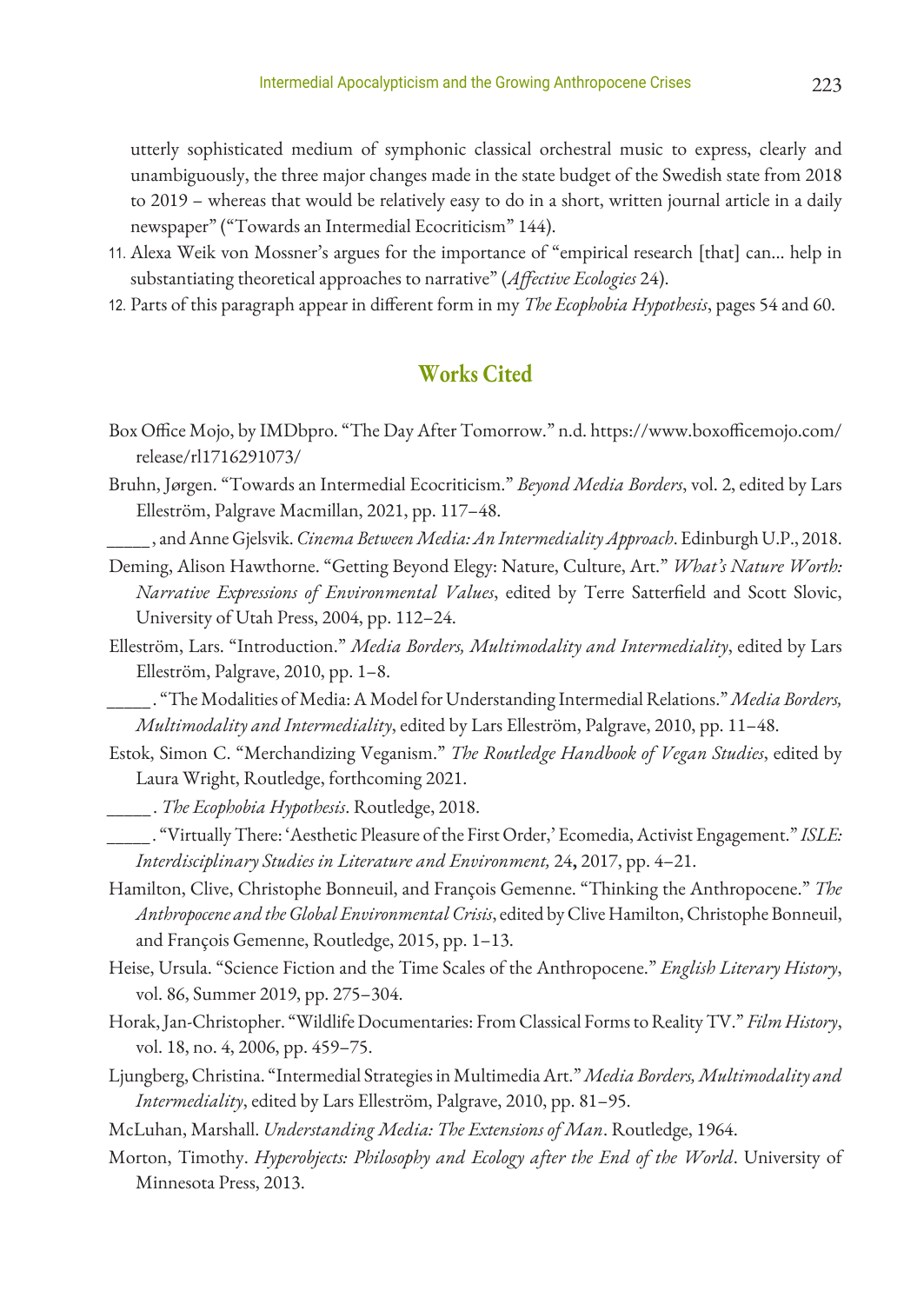utterly sophisticated medium of symphonic classical orchestral music to express, clearly and unambiguously, the three major changes made in the state budget of the Swedish state from 2018 to 2019 – whereas that would be relatively easy to do in a short, written journal article in a daily newspaper" ("Towards an Intermedial Ecocriticism" 144).

- 11. Alexa Weik von Mossner's argues for the importance of "empirical research [that] can... help in substantiating theoretical approaches to narrative" (*Affective Ecologies* 24).
- 12. Parts of this paragraph appear in different form in my *The Ecophobia Hypothesis*, pages 54 and 60.

## **Works Cited**

- Box Office Mojo, by IMDbpro. "The Day After Tomorrow." n.d. https://www.boxofficemojo.com/ release/rl1716291073/
- Bruhn, Jørgen. "Towards an Intermedial Ecocriticism." *Beyond Media Borders*, vol. 2, edited by Lars Elleström, Palgrave Macmillan, 2021, pp. 117–48.

*\_\_\_\_\_*, and Anne Gjelsvik. *Cinema Between Media: An Intermediality Approach*. Edinburgh U.P., 2018.

- Deming, Alison Hawthorne. "Getting Beyond Elegy: Nature, Culture, Art." *What's Nature Worth: Narrative Expressions of Environmental Values*, edited by Terre Satterfield and Scott Slovic, University of Utah Press, 2004, pp. 112–24.
- Elleström, Lars. "Introduction." *Media Borders, Multimodality and Intermediality*, edited by Lars Elleström, Palgrave, 2010, pp. 1–8.

*\_\_\_\_\_*. "The Modalities of Media: A Model for Understanding Intermedial Relations." *Media Borders, Multimodality and Intermediality*, edited by Lars Elleström, Palgrave, 2010, pp. 11–48.

Estok, Simon C. "Merchandizing Veganism." *The Routledge Handbook of Vegan Studies*, edited by Laura Wright, Routledge, forthcoming 2021.

*\_\_\_\_\_*. *The Ecophobia Hypothesis*. Routledge, 2018.

- *\_\_\_\_\_*. "Virtually There: 'Aesthetic Pleasure of the First Order,' Ecomedia, Activist Engagement." *ISLE: Interdisciplinary Studies in Literature and Environment,* 24**,** 2017, pp. 4–21.
- Hamilton, Clive, Christophe Bonneuil, and François Gemenne. "Thinking the Anthropocene." *The Anthropocene and the Global Environmental Crisis*, edited by Clive Hamilton, Christophe Bonneuil, and François Gemenne, Routledge, 2015, pp. 1–13.
- Heise, Ursula. "Science Fiction and the Time Scales of the Anthropocene." *English Literary History*, vol. 86, Summer 2019, pp. 275–304.
- Horak, Jan-Christopher. "Wildlife Documentaries: From Classical Forms to Reality TV." *Film History*, vol. 18, no. 4, 2006, pp. 459–75.
- Ljungberg, Christina. "Intermedial Strategies in Multimedia Art." *Media Borders, Multimodality and Intermediality*, edited by Lars Elleström, Palgrave, 2010, pp. 81–95.

McLuhan, Marshall. *Understanding Media: The Extensions of Man*. Routledge, 1964.

Morton, Timothy. *Hyperobjects: Philosophy and Ecology after the End of the World*. University of Minnesota Press, 2013.